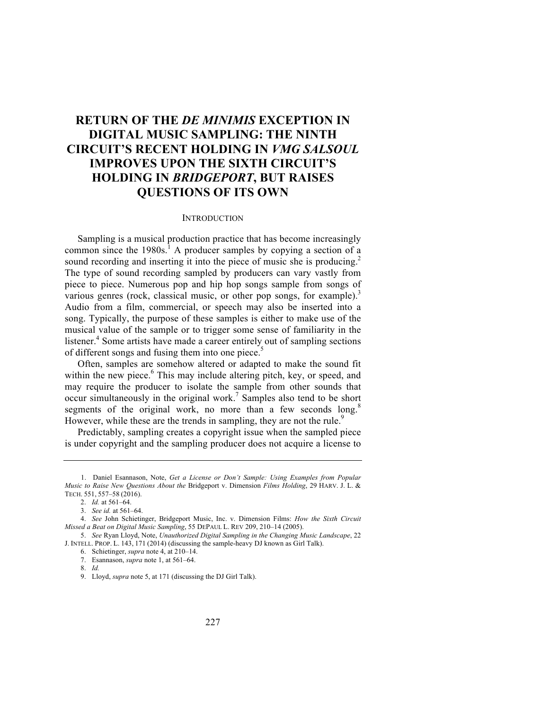# **RETURN OF THE** *DE MINIMIS* **EXCEPTION IN DIGITAL MUSIC SAMPLING: THE NINTH CIRCUIT'S RECENT HOLDING IN** *VMG SALSOUL* **IMPROVES UPON THE SIXTH CIRCUIT'S HOLDING IN** *BRIDGEPORT***, BUT RAISES QUESTIONS OF ITS OWN**

## **INTRODUCTION**

Sampling is a musical production practice that has become increasingly common since the  $1980s<sup>1</sup>$ . A producer samples by copying a section of a sound recording and inserting it into the piece of music she is producing.<sup>2</sup> The type of sound recording sampled by producers can vary vastly from piece to piece. Numerous pop and hip hop songs sample from songs of various genres (rock, classical music, or other pop songs, for example).<sup>3</sup> Audio from a film, commercial, or speech may also be inserted into a song. Typically, the purpose of these samples is either to make use of the musical value of the sample or to trigger some sense of familiarity in the listener.<sup>4</sup> Some artists have made a career entirely out of sampling sections of different songs and fusing them into one piece.<sup>5</sup>

Often, samples are somehow altered or adapted to make the sound fit within the new piece.<sup>6</sup> This may include altering pitch, key, or speed, and may require the producer to isolate the sample from other sounds that occur simultaneously in the original work.<sup>7</sup> Samples also tend to be short segments of the original work, no more than a few seconds long.<sup>8</sup> However, while these are the trends in sampling, they are not the rule.<sup>9</sup>

Predictably, sampling creates a copyright issue when the sampled piece is under copyright and the sampling producer does not acquire a license to

<sup>1.</sup> Daniel Esannason, Note, *Get a License or Don't Sample: Using Examples from Popular Music to Raise New Questions About the* Bridgeport v. Dimension *Films Holding*, 29 HARV. J. L. & TECH. 551, 557–58 (2016).

<sup>2.</sup> *Id.* at 561–64.

<sup>3.</sup> *See id.* at 561–64.

<sup>4.</sup> *See* John Schietinger, Bridgeport Music, Inc. v. Dimension Films: *How the Sixth Circuit Missed a Beat on Digital Music Sampling*, 55 DEPAUL L. REV 209, 210–14 (2005).

<sup>5.</sup> *See* Ryan Lloyd, Note, *Unauthorized Digital Sampling in the Changing Music Landscape*, 22 J. INTELL. PROP. L. 143, 171 (2014) (discussing the sample-heavy DJ known as Girl Talk).

<sup>6.</sup> Schietinger, *supra* note 4, at 210–14.

<sup>7.</sup> Esannason, *supra* note 1, at 561–64.

<sup>8.</sup> *Id.*

<sup>9.</sup> Lloyd, *supra* note 5, at 171 (discussing the DJ Girl Talk).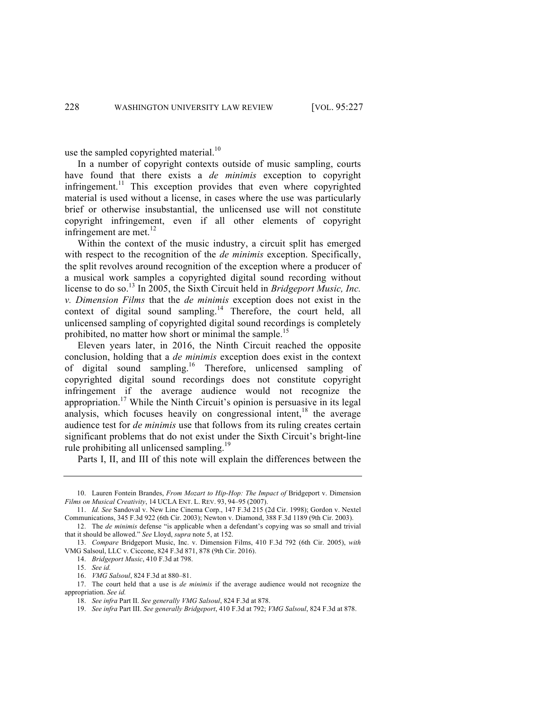use the sampled copyrighted material.<sup>10</sup>

In a number of copyright contexts outside of music sampling, courts have found that there exists a *de minimis* exception to copyright infringement.<sup>11</sup> This exception provides that even where copyrighted material is used without a license, in cases where the use was particularly brief or otherwise insubstantial, the unlicensed use will not constitute copyright infringement, even if all other elements of copyright infringement are met. $^{12}$ 

Within the context of the music industry, a circuit split has emerged with respect to the recognition of the *de minimis* exception. Specifically, the split revolves around recognition of the exception where a producer of a musical work samples a copyrighted digital sound recording without license to do so.<sup>13</sup> In 2005, the Sixth Circuit held in *Bridgeport Music, Inc. v. Dimension Films* that the *de minimis* exception does not exist in the context of digital sound sampling.<sup>14</sup> Therefore, the court held, all unlicensed sampling of copyrighted digital sound recordings is completely prohibited, no matter how short or minimal the sample.<sup>15</sup>

Eleven years later, in 2016, the Ninth Circuit reached the opposite conclusion, holding that a *de minimis* exception does exist in the context of digital sound sampling.16 Therefore, unlicensed sampling of copyrighted digital sound recordings does not constitute copyright infringement if the average audience would not recognize the appropriation.<sup>17</sup> While the Ninth Circuit's opinion is persuasive in its legal analysis, which focuses heavily on congressional intent,<sup>18</sup> the average audience test for *de minimis* use that follows from its ruling creates certain significant problems that do not exist under the Sixth Circuit's bright-line rule prohibiting all unlicensed sampling.<sup>19</sup>

Parts I, II, and III of this note will explain the differences between the

<sup>10.</sup> Lauren Fontein Brandes, *From Mozart to Hip-Hop: The Impact of* Bridgeport v. Dimension *Films on Musical Creativity*, 14 UCLA ENT. L. REV. 93, 94–95 (2007).

<sup>11.</sup> *Id. See* Sandoval v. New Line Cinema Corp., 147 F.3d 215 (2d Cir. 1998); Gordon v. Nextel Communications, 345 F.3d 922 (6th Cir. 2003); Newton v. Diamond, 388 F.3d 1189 (9th Cir. 2003).

<sup>12.</sup> The *de minimis* defense "is applicable when a defendant's copying was so small and trivial that it should be allowed." *See* Lloyd, *supra* note 5, at 152.

<sup>13.</sup> *Compare* Bridgeport Music, Inc. v. Dimension Films, 410 F.3d 792 (6th Cir. 2005), *with* VMG Salsoul, LLC v. Ciccone, 824 F.3d 871, 878 (9th Cir. 2016).

<sup>14.</sup> *Bridgeport Music*, 410 F.3d at 798.

<sup>15.</sup> *See id.*

<sup>16.</sup> *VMG Salsoul*, 824 F.3d at 880–81.

<sup>17.</sup> The court held that a use is *de minimis* if the average audience would not recognize the appropriation. *See id.*

<sup>18.</sup> *See infra* Part II. *See generally VMG Salsoul*, 824 F.3d at 878.

<sup>19.</sup> *See infra* Part III. *See generally Bridgeport*, 410 F.3d at 792; *VMG Salsoul*, 824 F.3d at 878.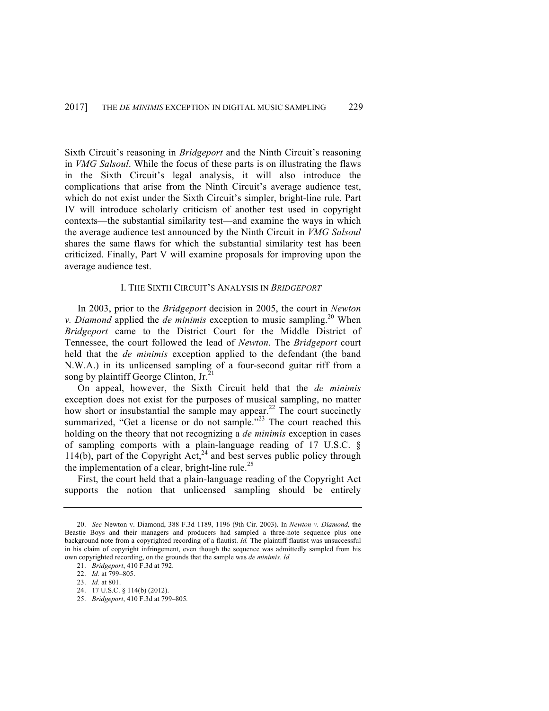Sixth Circuit's reasoning in *Bridgeport* and the Ninth Circuit's reasoning in *VMG Salsoul*. While the focus of these parts is on illustrating the flaws in the Sixth Circuit's legal analysis, it will also introduce the complications that arise from the Ninth Circuit's average audience test, which do not exist under the Sixth Circuit's simpler, bright-line rule. Part IV will introduce scholarly criticism of another test used in copyright contexts—the substantial similarity test—and examine the ways in which the average audience test announced by the Ninth Circuit in *VMG Salsoul* shares the same flaws for which the substantial similarity test has been criticized. Finally, Part V will examine proposals for improving upon the average audience test.

## I. THE SIXTH CIRCUIT'S ANALYSIS IN *BRIDGEPORT*

In 2003, prior to the *Bridgeport* decision in 2005, the court in *Newton v. Diamond* applied the *de minimis* exception to music sampling.<sup>20</sup> When *Bridgeport* came to the District Court for the Middle District of Tennessee, the court followed the lead of *Newton*. The *Bridgeport* court held that the *de minimis* exception applied to the defendant (the band N.W.A.) in its unlicensed sampling of a four-second guitar riff from a song by plaintiff George Clinton,  $Ir^2$ 

On appeal, however, the Sixth Circuit held that the *de minimis* exception does not exist for the purposes of musical sampling, no matter how short or insubstantial the sample may appear.<sup>22</sup> The court succinctly summarized, "Get a license or do not sample."<sup>23</sup> The court reached this holding on the theory that not recognizing a *de minimis* exception in cases of sampling comports with a plain-language reading of 17 U.S.C. § 114(b), part of the Copyright Act,<sup>24</sup> and best serves public policy through the implementation of a clear, bright-line rule.<sup>25</sup>

First, the court held that a plain-language reading of the Copyright Act supports the notion that unlicensed sampling should be entirely

<sup>20.</sup> *See* Newton v. Diamond, 388 F.3d 1189, 1196 (9th Cir. 2003). In *Newton v. Diamond,* the Beastie Boys and their managers and producers had sampled a three-note sequence plus one background note from a copyrighted recording of a flautist. *Id.* The plaintiff flautist was unsuccessful in his claim of copyright infringement, even though the sequence was admittedly sampled from his own copyrighted recording, on the grounds that the sample was *de minimis*. *Id.*

<sup>21.</sup> *Bridgeport*, 410 F.3d at 792.

<sup>22.</sup> *Id.* at 799–805.

<sup>23.</sup> *Id.* at 801.

<sup>24.</sup> 17 U.S.C. § 114(b) (2012).

<sup>25.</sup> *Bridgeport*, 410 F.3d at 799–805*.*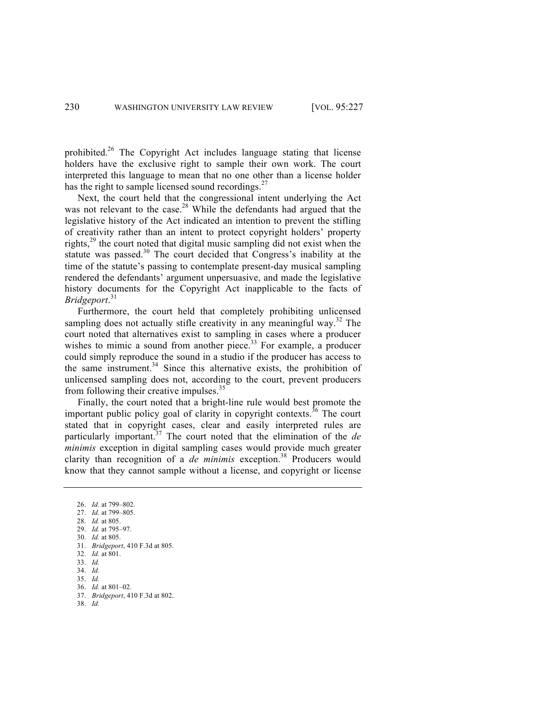prohibited.<sup>26</sup> The Copyright Act includes language stating that license holders have the exclusive right to sample their own work. The court interpreted this language to mean that no one other than a license holder has the right to sample licensed sound recordings. $27$ 

Next, the court held that the congressional intent underlying the Act was not relevant to the case.<sup>28</sup> While the defendants had argued that the legislative history of the Act indicated an intention to prevent the stifling of creativity rather than an intent to protect copyright holders' property rights, $^{29}$  the court noted that digital music sampling did not exist when the statute was passed.<sup>30</sup> The court decided that Congress's inability at the time of the statute's passing to contemplate present-day musical sampling rendered the defendants' argument unpersuasive, and made the legislative history documents for the Copyright Act inapplicable to the facts of *Bridgeport*. 31

Furthermore, the court held that completely prohibiting unlicensed sampling does not actually stifle creativity in any meaningful way.<sup>32</sup> The court noted that alternatives exist to sampling in cases where a producer wishes to mimic a sound from another piece. $33$  For example, a producer could simply reproduce the sound in a studio if the producer has access to the same instrument. $34$  Since this alternative exists, the prohibition of unlicensed sampling does not, according to the court, prevent producers from following their creative impulses.<sup>35</sup>

Finally, the court noted that a bright-line rule would best promote the important public policy goal of clarity in copyright contexts.<sup>36</sup> The court stated that in copyright cases, clear and easily interpreted rules are particularly important.<sup>37</sup> The court noted that the elimination of the *de minimis* exception in digital sampling cases would provide much greater clarity than recognition of a *de minimis* exception.<sup>38</sup> Producers would know that they cannot sample without a license, and copyright or license

<sup>26.</sup> *Id.* at 799–802.

<sup>27.</sup> *Id.* at 799–805.

<sup>28.</sup> *Id.* at 805. 29. *Id.* at 795–97.

<sup>30.</sup> *Id.* at 805.

<sup>31.</sup> *Bridgeport*, 410 F.3d at 805.

<sup>32.</sup> *Id.* at 801.

<sup>33.</sup> *Id.*

<sup>34.</sup> *Id.*

<sup>35.</sup> *Id.*

<sup>36.</sup> *Id.* at 801–02.

<sup>37.</sup> *Bridgeport*, 410 F.3d at 802.

<sup>38.</sup> *Id.*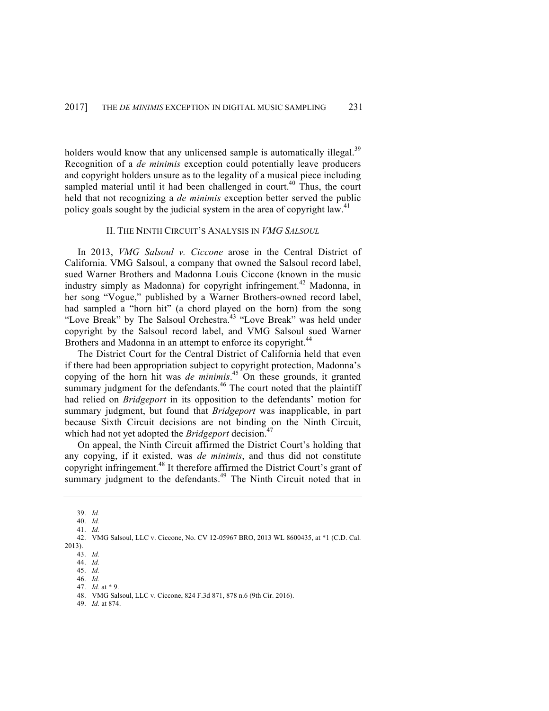holders would know that any unlicensed sample is automatically illegal.<sup>39</sup> Recognition of a *de minimis* exception could potentially leave producers and copyright holders unsure as to the legality of a musical piece including sampled material until it had been challenged in court.<sup>40</sup> Thus, the court held that not recognizing a *de minimis* exception better served the public policy goals sought by the judicial system in the area of copyright law.<sup>41</sup>

## II. THE NINTH CIRCUIT'S ANALYSIS IN *VMG SALSOUL*

In 2013, *VMG Salsoul v. Ciccone* arose in the Central District of California. VMG Salsoul, a company that owned the Salsoul record label, sued Warner Brothers and Madonna Louis Ciccone (known in the music industry simply as Madonna) for copyright infringement.<sup>42</sup> Madonna, in her song "Vogue," published by a Warner Brothers-owned record label, had sampled a "horn hit" (a chord played on the horn) from the song "Love Break" by The Salsoul Orchestra.<sup>43</sup> "Love Break" was held under copyright by the Salsoul record label, and VMG Salsoul sued Warner Brothers and Madonna in an attempt to enforce its copyright.<sup>44</sup>

The District Court for the Central District of California held that even if there had been appropriation subject to copyright protection, Madonna's copying of the horn hit was *de minimis*. <sup>45</sup> On these grounds, it granted summary judgment for the defendants.<sup>46</sup> The court noted that the plaintiff had relied on *Bridgeport* in its opposition to the defendants' motion for summary judgment, but found that *Bridgeport* was inapplicable, in part because Sixth Circuit decisions are not binding on the Ninth Circuit, which had not yet adopted the *Bridgeport* decision.<sup>4</sup>

On appeal, the Ninth Circuit affirmed the District Court's holding that any copying, if it existed, was *de minimis*, and thus did not constitute copyright infringement.<sup>48</sup> It therefore affirmed the District Court's grant of summary judgment to the defendants.<sup>49</sup> The Ninth Circuit noted that in

49. *Id.* at 874.

<sup>39.</sup> *Id.*

<sup>40.</sup> *Id.* 41. *Id.*

<sup>42.</sup> VMG Salsoul, LLC v. Ciccone, No. CV 12-05967 BRO, 2013 WL 8600435, at \*1 (C.D. Cal. 2013).

<sup>43.</sup> *Id.* 44. *Id.*

<sup>45.</sup> *Id.*

<sup>46.</sup> *Id.*

<sup>47.</sup> *Id.* at \* 9.

<sup>48.</sup> VMG Salsoul, LLC v. Ciccone, 824 F.3d 871, 878 n.6 (9th Cir. 2016).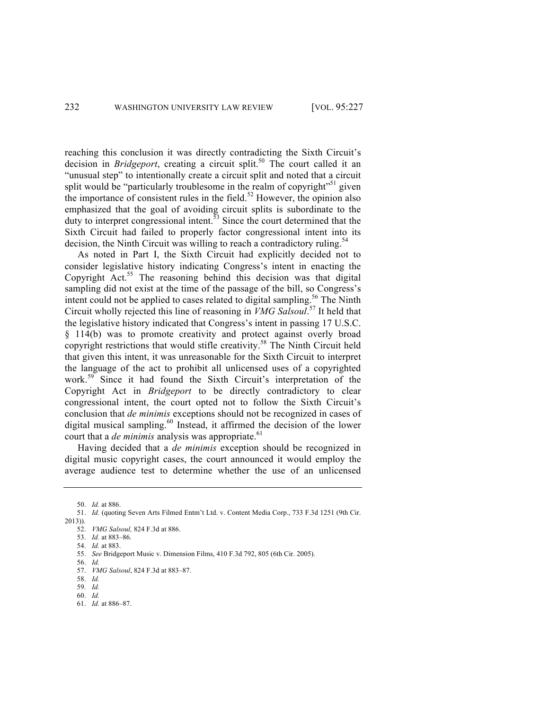reaching this conclusion it was directly contradicting the Sixth Circuit's decision in *Bridgeport*, creating a circuit split.<sup>50</sup> The court called it an "unusual step" to intentionally create a circuit split and noted that a circuit split would be "particularly troublesome in the realm of copyright"<sup>51</sup> given the importance of consistent rules in the field.<sup>52</sup> However, the opinion also emphasized that the goal of avoiding circuit splits is subordinate to the duty to interpret congressional intent.<sup>53</sup> Since the court determined that the Sixth Circuit had failed to properly factor congressional intent into its decision, the Ninth Circuit was willing to reach a contradictory ruling.<sup>54</sup>

As noted in Part I, the Sixth Circuit had explicitly decided not to consider legislative history indicating Congress's intent in enacting the Copyright  $Act.^{55}$  The reasoning behind this decision was that digital sampling did not exist at the time of the passage of the bill, so Congress's intent could not be applied to cases related to digital sampling.<sup>56</sup> The Ninth Circuit wholly rejected this line of reasoning in *VMG Salsoul*. <sup>57</sup> It held that the legislative history indicated that Congress's intent in passing 17 U.S.C. § 114(b) was to promote creativity and protect against overly broad copyright restrictions that would stifle creativity.<sup>58</sup> The Ninth Circuit held that given this intent, it was unreasonable for the Sixth Circuit to interpret the language of the act to prohibit all unlicensed uses of a copyrighted work.<sup>59</sup> Since it had found the Sixth Circuit's interpretation of the Copyright Act in *Bridgeport* to be directly contradictory to clear congressional intent, the court opted not to follow the Sixth Circuit's conclusion that *de minimis* exceptions should not be recognized in cases of digital musical sampling. $60$  Instead, it affirmed the decision of the lower court that a *de minimis* analysis was appropriate.<sup>61</sup>

Having decided that a *de minimis* exception should be recognized in digital music copyright cases, the court announced it would employ the average audience test to determine whether the use of an unlicensed

61. *Id.* at 886–87.

<sup>50.</sup> *Id.* at 886.

<sup>51.</sup> *Id.* (quoting Seven Arts Filmed Entm't Ltd. v. Content Media Corp., 733 F.3d 1251 (9th Cir. 2013)).

<sup>52.</sup> *VMG Salsoul,* 824 F.3d at 886.

<sup>53.</sup> *Id.* at 883–86.

<sup>54.</sup> *Id.* at 883.

<sup>55.</sup> *See* Bridgeport Music v. Dimension Films, 410 F.3d 792, 805 (6th Cir. 2005).

<sup>56.</sup> *Id.*

<sup>57.</sup> *VMG Salsoul*, 824 F.3d at 883–87.

<sup>58.</sup> *Id.* 59. *Id.*

<sup>60.</sup> *Id.*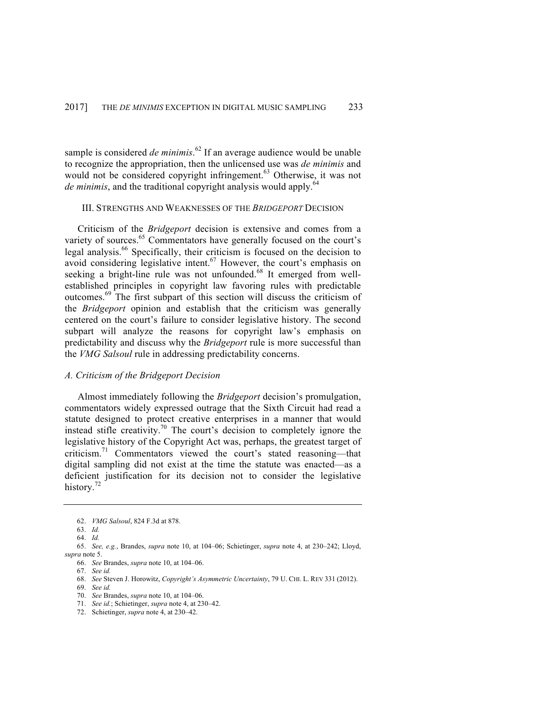sample is considered *de minimis*. <sup>62</sup> If an average audience would be unable to recognize the appropriation, then the unlicensed use was *de minimis* and would not be considered copyright infringement.<sup>63</sup> Otherwise, it was not *de minimis*, and the traditional copyright analysis would apply.<sup>64</sup>

#### III. STRENGTHS AND WEAKNESSES OF THE *BRIDGEPORT* DECISION

Criticism of the *Bridgeport* decision is extensive and comes from a variety of sources.<sup>65</sup> Commentators have generally focused on the court's legal analysis.<sup>66</sup> Specifically, their criticism is focused on the decision to avoid considering legislative intent.<sup>67</sup> However, the court's emphasis on seeking a bright-line rule was not unfounded.<sup>68</sup> It emerged from wellestablished principles in copyright law favoring rules with predictable outcomes.<sup>69</sup> The first subpart of this section will discuss the criticism of the *Bridgeport* opinion and establish that the criticism was generally centered on the court's failure to consider legislative history. The second subpart will analyze the reasons for copyright law's emphasis on predictability and discuss why the *Bridgeport* rule is more successful than the *VMG Salsoul* rule in addressing predictability concerns.

## *A. Criticism of the Bridgeport Decision*

Almost immediately following the *Bridgeport* decision's promulgation, commentators widely expressed outrage that the Sixth Circuit had read a statute designed to protect creative enterprises in a manner that would instead stifle creativity.<sup>70</sup> The court's decision to completely ignore the legislative history of the Copyright Act was, perhaps, the greatest target of criticism.<sup>71</sup> Commentators viewed the court's stated reasoning—that digital sampling did not exist at the time the statute was enacted—as a deficient justification for its decision not to consider the legislative history.<sup>72</sup>

<sup>62.</sup> *VMG Salsoul*, 824 F.3d at 878.

<sup>63.</sup> *Id.*

<sup>64.</sup> *Id.*

<sup>65.</sup> *See, e.g.*, Brandes, *supra* note 10, at 104–06; Schietinger, *supra* note 4, at 230–242; Lloyd, *supra* note 5.

<sup>66.</sup> *See* Brandes, *supra* note 10, at 104–06.

<sup>67.</sup> *See id.*

<sup>68.</sup> *See* Steven J. Horowitz, *Copyright's Asymmetric Uncertainty*, 79 U. CHI. L. REV 331 (2012).

<sup>69.</sup> *See id.*

<sup>70.</sup> *See* Brandes, *supra* note 10, at 104–06.

<sup>71.</sup> *See id.*; Schietinger, *supra* note 4, at 230–42.

<sup>72.</sup> Schietinger, *supra* note 4, at 230–42.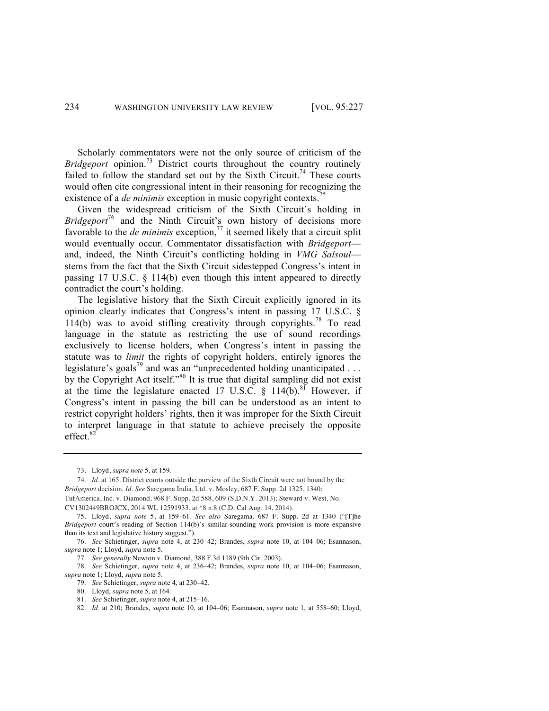Scholarly commentators were not the only source of criticism of the *Bridgeport* opinion.<sup>73</sup> District courts throughout the country routinely failed to follow the standard set out by the Sixth Circuit.<sup>74</sup> These courts would often cite congressional intent in their reasoning for recognizing the existence of a *de minimis* exception in music copyright contexts.<sup>7</sup>

Given the widespread criticism of the Sixth Circuit's holding in *Bridgeport*<sup>76</sup> and the Ninth Circuit's own history of decisions more favorable to the *de minimis* exception,<sup>77</sup> it seemed likely that a circuit split would eventually occur. Commentator dissatisfaction with *Bridgeport* and, indeed, the Ninth Circuit's conflicting holding in *VMG Salsoul* stems from the fact that the Sixth Circuit sidestepped Congress's intent in passing 17 U.S.C. § 114(b) even though this intent appeared to directly contradict the court's holding.

The legislative history that the Sixth Circuit explicitly ignored in its opinion clearly indicates that Congress's intent in passing 17 U.S.C. § 114(b) was to avoid stifling creativity through copyrights.<sup>78</sup> To read language in the statute as restricting the use of sound recordings exclusively to license holders, when Congress's intent in passing the statute was to *limit* the rights of copyright holders, entirely ignores the legislature's goals<sup>79</sup> and was an "unprecedented holding unanticipated  $\dots$ by the Copyright Act itself."<sup>80</sup> It is true that digital sampling did not exist at the time the legislature enacted 17 U.S.C.  $\S$  114(b).<sup>81</sup> However, if Congress's intent in passing the bill can be understood as an intent to restrict copyright holders' rights, then it was improper for the Sixth Circuit to interpret language in that statute to achieve precisely the opposite effect.<sup>82</sup>

81. *See* Schietinger, *supra* note 4, at 215–16.

<sup>73.</sup> Lloyd, *supra note* 5, at 159.

 <sup>74.</sup> *Id.* at 165. District courts outside the purview of the Sixth Circuit were not bound by the *Bridgeport* decision. *Id. See* Saregama India, Ltd. v. Mosley, 687 F. Supp. 2d 1325, 1340; TufAmerica, Inc. v. Diamond, 968 F. Supp. 2d 588, 609 (S.D.N.Y. 2013); Steward v. West, No. CV1302449BROJCX, 2014 WL 12591933, at \*8 n.8 (C.D. Cal Aug. 14, 2014).

<sup>75.</sup> Lloyd, *supra note* 5, at 159–61. *See also* Saregama, 687 F. Supp. 2d at 1340 ("[T]he *Bridgeport* court's reading of Section 114(b)'s similar-sounding work provision is more expansive than its text and legislative history suggest.").

<sup>76.</sup> *See* Schietinger, *supra* note 4, at 230–42; Brandes, *supra* note 10, at 104–06; Esannason, *supra* note 1; Lloyd, *supra* note 5.

<sup>77.</sup> *See generally* Newton v. Diamond, 388 F.3d 1189 (9th Cir. 2003).

<sup>78.</sup> *See* Schietinger, *supra* note 4, at 236–42; Brandes, *supra* note 10, at 104–06; Esannason, *supra* note 1; Lloyd, *supra* note 5.

<sup>79.</sup> *See* Schietinger, *supra* note 4, at 230–42.

<sup>80.</sup> Lloyd, *supra* note 5, at 164.

<sup>82.</sup> *Id.* at 210; Brandes, *supra* note 10, at 104–06; Esannason, *supra* note 1, at 558–60; Lloyd,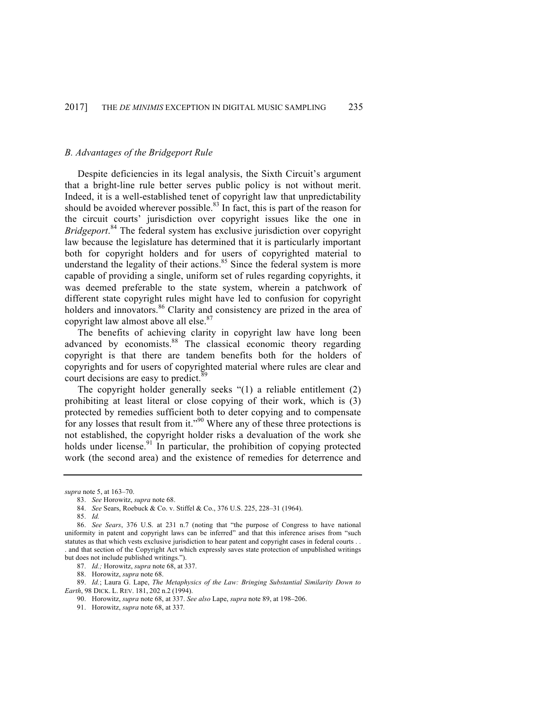## *B. Advantages of the Bridgeport Rule*

Despite deficiencies in its legal analysis, the Sixth Circuit's argument that a bright-line rule better serves public policy is not without merit. Indeed, it is a well-established tenet of copyright law that unpredictability should be avoided wherever possible.<sup>83</sup> In fact, this is part of the reason for the circuit courts' jurisdiction over copyright issues like the one in *Bridgeport*. <sup>84</sup> The federal system has exclusive jurisdiction over copyright law because the legislature has determined that it is particularly important both for copyright holders and for users of copyrighted material to understand the legality of their actions. $85$  Since the federal system is more capable of providing a single, uniform set of rules regarding copyrights, it was deemed preferable to the state system, wherein a patchwork of different state copyright rules might have led to confusion for copyright holders and innovators.<sup>86</sup> Clarity and consistency are prized in the area of copyright law almost above all else.<sup>87</sup>

The benefits of achieving clarity in copyright law have long been advanced by economists.<sup>88</sup> The classical economic theory regarding copyright is that there are tandem benefits both for the holders of copyrights and for users of copyrighted material where rules are clear and court decisions are easy to predict.<sup>89</sup>

The copyright holder generally seeks "(1) a reliable entitlement (2) prohibiting at least literal or close copying of their work, which is (3) protected by remedies sufficient both to deter copying and to compensate for any losses that result from it."<sup>90</sup> Where any of these three protections is not established, the copyright holder risks a devaluation of the work she holds under license.<sup>91</sup> In particular, the prohibition of copying protected work (the second area) and the existence of remedies for deterrence and

*supra* note 5, at 163–70.

89. *Id.*; Laura G. Lape, *The Metaphysics of the Law: Bringing Substantial Similarity Down to Earth*, 98 DICK. L. REV. 181, 202 n.2 (1994).

90. Horowitz, *supra* note 68, at 337. *See also* Lape, *supra* note 89, at 198–206.

91. Horowitz, *supra* note 68, at 337*.*

<sup>83.</sup> *See* Horowitz, *supra* note 68.

<sup>84.</sup> *See* Sears, Roebuck & Co. v. Stiffel & Co., 376 U.S. 225, 228–31 (1964).

<sup>85.</sup> *Id.*

<sup>86.</sup> *See Sears*, 376 U.S. at 231 n.7 (noting that "the purpose of Congress to have national uniformity in patent and copyright laws can be inferred" and that this inference arises from "such statutes as that which vests exclusive jurisdiction to hear patent and copyright cases in federal courts . . . and that section of the Copyright Act which expressly saves state protection of unpublished writings but does not include published writings.").

<sup>87.</sup> *Id.;* Horowitz, *supra* note 68, at 337.

<sup>88.</sup> Horowitz, *supra* note 68.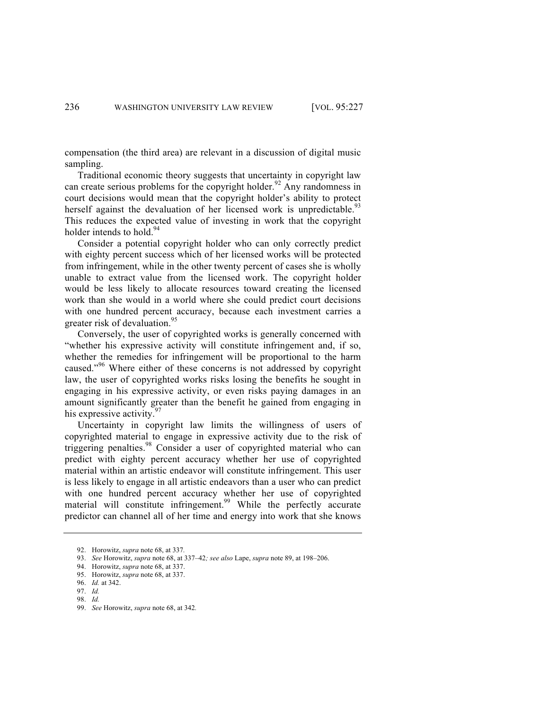compensation (the third area) are relevant in a discussion of digital music sampling.

Traditional economic theory suggests that uncertainty in copyright law can create serious problems for the copyright holder.<sup>92</sup> Any randomness in court decisions would mean that the copyright holder's ability to protect herself against the devaluation of her licensed work is unpredictable.<sup>93</sup> This reduces the expected value of investing in work that the copyright holder intends to hold.<sup>94</sup>

Consider a potential copyright holder who can only correctly predict with eighty percent success which of her licensed works will be protected from infringement, while in the other twenty percent of cases she is wholly unable to extract value from the licensed work. The copyright holder would be less likely to allocate resources toward creating the licensed work than she would in a world where she could predict court decisions with one hundred percent accuracy, because each investment carries a greater risk of devaluation.<sup>95</sup>

Conversely, the user of copyrighted works is generally concerned with "whether his expressive activity will constitute infringement and, if so, whether the remedies for infringement will be proportional to the harm caused."<sup>96</sup> Where either of these concerns is not addressed by copyright law, the user of copyrighted works risks losing the benefits he sought in engaging in his expressive activity, or even risks paying damages in an amount significantly greater than the benefit he gained from engaging in his expressive activity. $97$ 

Uncertainty in copyright law limits the willingness of users of copyrighted material to engage in expressive activity due to the risk of triggering penalties.<sup>98</sup> Consider a user of copyrighted material who can predict with eighty percent accuracy whether her use of copyrighted material within an artistic endeavor will constitute infringement. This user is less likely to engage in all artistic endeavors than a user who can predict with one hundred percent accuracy whether her use of copyrighted material will constitute infringement.<sup>99</sup> While the perfectly accurate predictor can channel all of her time and energy into work that she knows

<sup>92.</sup> Horowitz, *supra* note 68, at 337*.*

<sup>93.</sup> *See* Horowitz, *supra* note 68, at 337–42*; see also* Lape, *supra* note 89, at 198–206.

<sup>94.</sup> Horowitz, *supra* note 68, at 337.

<sup>95.</sup> Horowitz, *supra* note 68, at 337.

<sup>96.</sup> *Id.* at 342.

<sup>97.</sup> *Id.* 98. *Id.*

<sup>99.</sup> *See* Horowitz, *supra* note 68, at 342*.*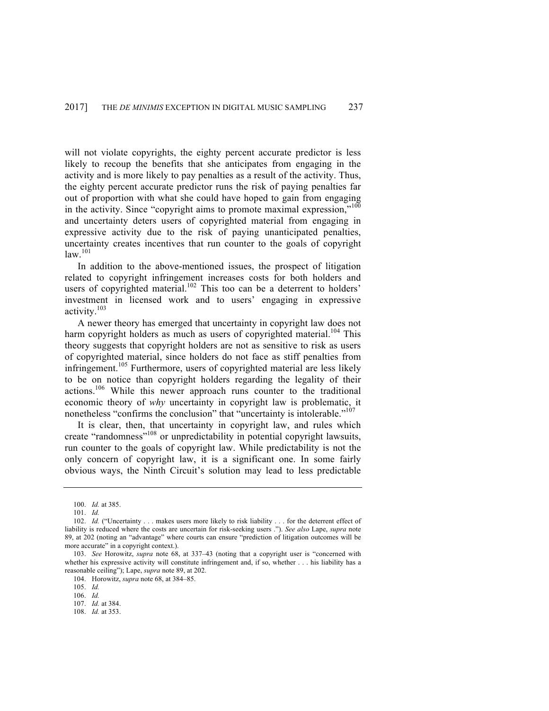will not violate copyrights, the eighty percent accurate predictor is less likely to recoup the benefits that she anticipates from engaging in the activity and is more likely to pay penalties as a result of the activity. Thus, the eighty percent accurate predictor runs the risk of paying penalties far out of proportion with what she could have hoped to gain from engaging in the activity. Since "copyright aims to promote maximal expression."<sup>100</sup> and uncertainty deters users of copyrighted material from engaging in expressive activity due to the risk of paying unanticipated penalties, uncertainty creates incentives that run counter to the goals of copyright  $law.<sup>101</sup>$ 

In addition to the above-mentioned issues, the prospect of litigation related to copyright infringement increases costs for both holders and users of copyrighted material.<sup>102</sup> This too can be a deterrent to holders' investment in licensed work and to users' engaging in expressive activity.<sup>103</sup>

A newer theory has emerged that uncertainty in copyright law does not harm copyright holders as much as users of copyrighted material.<sup>104</sup> This theory suggests that copyright holders are not as sensitive to risk as users of copyrighted material, since holders do not face as stiff penalties from infringement.<sup>105</sup> Furthermore, users of copyrighted material are less likely to be on notice than copyright holders regarding the legality of their actions.106 While this newer approach runs counter to the traditional economic theory of *why* uncertainty in copyright law is problematic, it nonetheless "confirms the conclusion" that "uncertainty is intolerable."<sup>107</sup>

It is clear, then, that uncertainty in copyright law, and rules which create "randomness"108 or unpredictability in potential copyright lawsuits, run counter to the goals of copyright law. While predictability is not the only concern of copyright law, it is a significant one. In some fairly obvious ways, the Ninth Circuit's solution may lead to less predictable

105. *Id.*

<sup>100.</sup> *Id.* at 385.

<sup>101.</sup> *Id.*

<sup>102.</sup> *Id.* ("Uncertainty . . . makes users more likely to risk liability . . . for the deterrent effect of liability is reduced where the costs are uncertain for risk-seeking users ."). *See also* Lape, *supra* note 89, at 202 (noting an "advantage" where courts can ensure "prediction of litigation outcomes will be more accurate" in a convright context.).

<sup>103.</sup> *See* Horowitz, *supra* note 68, at 337–43 (noting that a copyright user is "concerned with whether his expressive activity will constitute infringement and, if so, whether . . . his liability has a reasonable ceiling"); Lape, *supra* note 89, at 202.

<sup>104.</sup> Horowitz, *supra* note 68, at 384–85.

<sup>106.</sup> *Id.*

<sup>107.</sup> *Id.* at 384.

<sup>108.</sup> *Id.* at 353.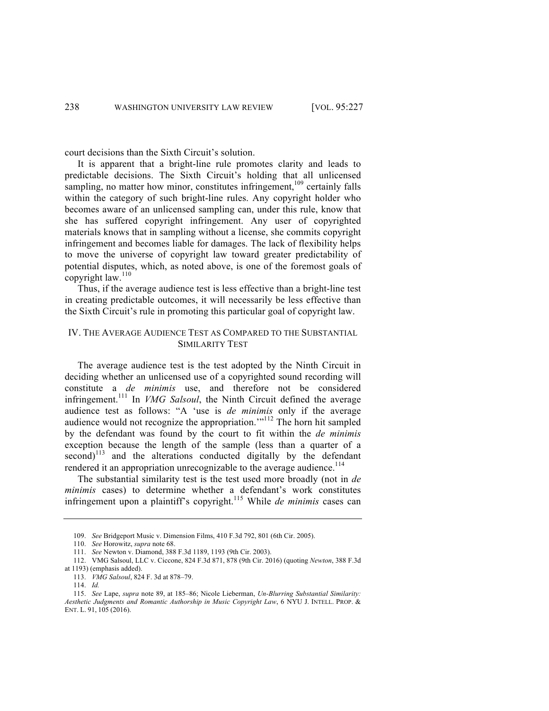court decisions than the Sixth Circuit's solution.

It is apparent that a bright-line rule promotes clarity and leads to predictable decisions. The Sixth Circuit's holding that all unlicensed sampling, no matter how minor, constitutes infringement,<sup>109</sup> certainly falls within the category of such bright-line rules. Any copyright holder who becomes aware of an unlicensed sampling can, under this rule, know that she has suffered copyright infringement. Any user of copyrighted materials knows that in sampling without a license, she commits copyright infringement and becomes liable for damages. The lack of flexibility helps to move the universe of copyright law toward greater predictability of potential disputes, which, as noted above, is one of the foremost goals of copyright law.<sup>110</sup>

Thus, if the average audience test is less effective than a bright-line test in creating predictable outcomes, it will necessarily be less effective than the Sixth Circuit's rule in promoting this particular goal of copyright law.

## IV. THE AVERAGE AUDIENCE TEST AS COMPARED TO THE SUBSTANTIAL SIMILARITY TEST

The average audience test is the test adopted by the Ninth Circuit in deciding whether an unlicensed use of a copyrighted sound recording will constitute a *de minimis* use, and therefore not be considered infringement. <sup>111</sup> In *VMG Salsoul*, the Ninth Circuit defined the average audience test as follows: "A 'use is *de minimis* only if the average audience would not recognize the appropriation.'"<sup>112</sup> The horn hit sampled by the defendant was found by the court to fit within the *de minimis* exception because the length of the sample (less than a quarter of a  $second)^{113}$  and the alterations conducted digitally by the defendant rendered it an appropriation unrecognizable to the average audience.<sup>114</sup>

The substantial similarity test is the test used more broadly (not in *de minimis* cases) to determine whether a defendant's work constitutes infringement upon a plaintiff's copyright.<sup>115</sup> While *de minimis* cases can

<sup>109.</sup> *See* Bridgeport Music v. Dimension Films, 410 F.3d 792, 801 (6th Cir. 2005).

<sup>110.</sup> *See* Horowitz, *supra* note 68.

<sup>111.</sup> *See* Newton v. Diamond, 388 F.3d 1189, 1193 (9th Cir. 2003).

<sup>112.</sup> VMG Salsoul, LLC v. Ciccone, 824 F.3d 871, 878 (9th Cir. 2016) (quoting *Newton*, 388 F.3d

at 1193) (emphasis added). 113. *VMG Salsoul*, 824 F. 3d at 878–79.

<sup>114.</sup> *Id.*

<sup>115.</sup> *See* Lape, *supra* note 89, at 185–86; Nicole Lieberman, *Un-Blurring Substantial Similarity: Aesthetic Judgments and Romantic Authorship in Music Copyright Law*, 6 NYU J. INTELL. PROP. & ENT. L. 91, 105 (2016).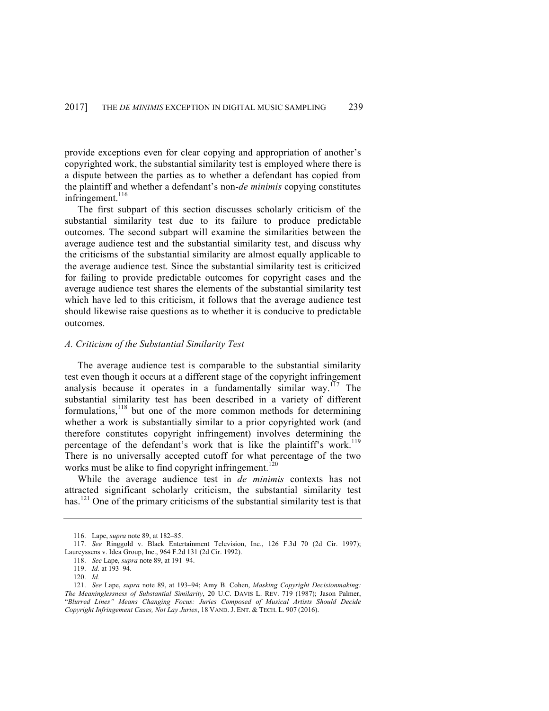provide exceptions even for clear copying and appropriation of another's copyrighted work, the substantial similarity test is employed where there is a dispute between the parties as to whether a defendant has copied from the plaintiff and whether a defendant's non-*de minimis* copying constitutes infringement. $116$ 

The first subpart of this section discusses scholarly criticism of the substantial similarity test due to its failure to produce predictable outcomes. The second subpart will examine the similarities between the average audience test and the substantial similarity test, and discuss why the criticisms of the substantial similarity are almost equally applicable to the average audience test. Since the substantial similarity test is criticized for failing to provide predictable outcomes for copyright cases and the average audience test shares the elements of the substantial similarity test which have led to this criticism, it follows that the average audience test should likewise raise questions as to whether it is conducive to predictable outcomes.

## *A. Criticism of the Substantial Similarity Test*

The average audience test is comparable to the substantial similarity test even though it occurs at a different stage of the copyright infringement analysis because it operates in a fundamentally similar way.<sup>117</sup> The substantial similarity test has been described in a variety of different formulations,<sup>118</sup> but one of the more common methods for determining whether a work is substantially similar to a prior copyrighted work (and therefore constitutes copyright infringement) involves determining the percentage of the defendant's work that is like the plaintiff's work.<sup>119</sup> There is no universally accepted cutoff for what percentage of the two works must be alike to find copyright infringement.<sup>120</sup>

While the average audience test in *de minimis* contexts has not attracted significant scholarly criticism, the substantial similarity test has.<sup>121</sup> One of the primary criticisms of the substantial similarity test is that

<sup>116.</sup> Lape, *supra* note 89, at 182–85.

<sup>117.</sup> *See* Ringgold v. Black Entertainment Television, Inc*.*, 126 F.3d 70 (2d Cir. 1997); Laureyssens v. Idea Group, Inc., 964 F.2d 131 (2d Cir. 1992).

<sup>118.</sup> *See* Lape, *supra* note 89, at 191–94.

<sup>119.</sup> *Id.* at 193–94.

<sup>120.</sup> *Id.*

<sup>121.</sup> *See* Lape, *supra* note 89, at 193–94; Amy B. Cohen, *Masking Copyright Decisionmaking: The Meaninglessness of Substantial Similarity*, 20 U.C. DAVIS L. REV. 719 (1987); Jason Palmer, "*Blurred Lines" Means Changing Focus: Juries Composed of Musical Artists Should Decide Copyright Infringement Cases, Not Lay Juries*, 18 VAND. J. ENT. & TECH. L. 907 (2016).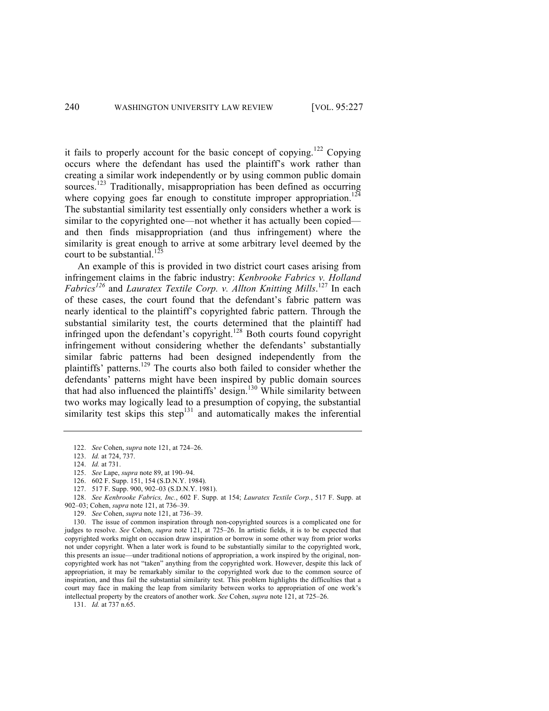it fails to properly account for the basic concept of copying.<sup>122</sup> Copying occurs where the defendant has used the plaintiff's work rather than creating a similar work independently or by using common public domain sources.<sup>123</sup> Traditionally, misappropriation has been defined as occurring where copying goes far enough to constitute improper appropriation.<sup>124</sup> The substantial similarity test essentially only considers whether a work is similar to the copyrighted one—not whether it has actually been copied and then finds misappropriation (and thus infringement) where the similarity is great enough to arrive at some arbitrary level deemed by the court to be substantial.<sup>125</sup>

An example of this is provided in two district court cases arising from infringement claims in the fabric industry: *Kenbrooke Fabrics v. Holland Fabrics<sup>126</sup>* and *Lauratex Textile Corp. v. Allton Knitting Mills*. <sup>127</sup> In each of these cases, the court found that the defendant's fabric pattern was nearly identical to the plaintiff's copyrighted fabric pattern. Through the substantial similarity test, the courts determined that the plaintiff had infringed upon the defendant's copyright.<sup>128</sup> Both courts found copyright infringement without considering whether the defendants' substantially similar fabric patterns had been designed independently from the plaintiffs' patterns.<sup>129</sup> The courts also both failed to consider whether the defendants' patterns might have been inspired by public domain sources that had also influenced the plaintiffs' design.<sup>130</sup> While similarity between two works may logically lead to a presumption of copying, the substantial similarity test skips this step<sup>131</sup> and automatically makes the inferential

- 125. *See* Lape, *supra* note 89, at 190–94.
- 126. 602 F. Supp. 151, 154 (S.D.N.Y. 1984).
- 127. 517 F. Supp. 900, 902–03 (S.D.N.Y. 1981).

129. *See* Cohen, *supra* note 121, at 736–39.

130. The issue of common inspiration through non-copyrighted sources is a complicated one for judges to resolve. *See* Cohen, *supra* note 121, at 725–26. In artistic fields, it is to be expected that copyrighted works might on occasion draw inspiration or borrow in some other way from prior works not under copyright. When a later work is found to be substantially similar to the copyrighted work, this presents an issue—under traditional notions of appropriation, a work inspired by the original, noncopyrighted work has not "taken" anything from the copyrighted work. However, despite this lack of appropriation, it may be remarkably similar to the copyrighted work due to the common source of inspiration, and thus fail the substantial similarity test. This problem highlights the difficulties that a court may face in making the leap from similarity between works to appropriation of one work's intellectual property by the creators of another work. *See* Cohen, *supra* note 121, at 725–26.

131. *Id.* at 737 n.65.

<sup>122.</sup> *See* Cohen, *supra* note 121, at 724–26.

<sup>123.</sup> *Id.* at 724, 737.

<sup>124.</sup> *Id.* at 731.

<sup>128.</sup> *See Kenbrooke Fabrics, Inc.*, 602 F. Supp. at 154; *Lauratex Textile Corp.*, 517 F. Supp. at 902–03; Cohen, *supra* note 121, at 736–39.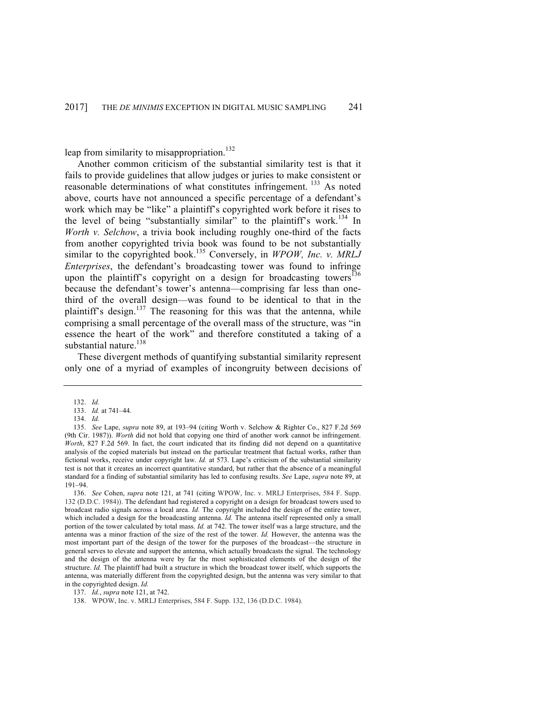leap from similarity to misappropriation.<sup>132</sup>

Another common criticism of the substantial similarity test is that it fails to provide guidelines that allow judges or juries to make consistent or reasonable determinations of what constitutes infringement. <sup>133</sup> As noted above, courts have not announced a specific percentage of a defendant's work which may be "like" a plaintiff's copyrighted work before it rises to the level of being "substantially similar" to the plaintiff's work.<sup>134</sup> In *Worth v. Selchow*, a trivia book including roughly one-third of the facts from another copyrighted trivia book was found to be not substantially similar to the copyrighted book.<sup>135</sup> Conversely, in *WPOW, Inc. v. MRLJ Enterprises*, the defendant's broadcasting tower was found to infringe upon the plaintiff's copyright on a design for broadcasting towers<sup>136</sup> because the defendant's tower's antenna—comprising far less than onethird of the overall design—was found to be identical to that in the plaintiff's design.<sup>137</sup> The reasoning for this was that the antenna, while comprising a small percentage of the overall mass of the structure, was "in essence the heart of the work" and therefore constituted a taking of a substantial nature.<sup>138</sup>

These divergent methods of quantifying substantial similarity represent only one of a myriad of examples of incongruity between decisions of

<sup>132.</sup> *Id.*

<sup>133.</sup> *Id.* at 741–44.

<sup>134.</sup> *Id.*

<sup>135.</sup> *See* Lape, *supra* note 89, at 193–94 (citing Worth v. Selchow & Righter Co., 827 F.2d 569 (9th Cir. 1987)). *Worth* did not hold that copying one third of another work cannot be infringement. *Worth*, 827 F.2d 569. In fact, the court indicated that its finding did not depend on a quantitative analysis of the copied materials but instead on the particular treatment that factual works, rather than fictional works, receive under copyright law. *Id.* at 573. Lape's criticism of the substantial similarity test is not that it creates an incorrect quantitative standard, but rather that the absence of a meaningful standard for a finding of substantial similarity has led to confusing results. *See* Lape, *supra* note 89, at 191–94.

<sup>136.</sup> *See* Cohen, *supra* note 121, at 741 (citing WPOW, Inc. v. MRLJ Enterprises, 584 F. Supp. 132 (D.D.C. 1984)). The defendant had registered a copyright on a design for broadcast towers used to broadcast radio signals across a local area. *Id.* The copyright included the design of the entire tower, which included a design for the broadcasting antenna. *Id*. The antenna itself represented only a small portion of the tower calculated by total mass. *Id.* at 742. The tower itself was a large structure, and the antenna was a minor fraction of the size of the rest of the tower. *Id.* However, the antenna was the most important part of the design of the tower for the purposes of the broadcast—the structure in general serves to elevate and support the antenna, which actually broadcasts the signal. The technology and the design of the antenna were by far the most sophisticated elements of the design of the structure. *Id.* The plaintiff had built a structure in which the broadcast tower itself, which supports the antenna, was materially different from the copyrighted design, but the antenna was very similar to that in the copyrighted design. *Id.*

<sup>137.</sup> *Id.*, *supra* note 121, at 742.

<sup>138.</sup> WPOW, Inc. v. MRLJ Enterprises, 584 F. Supp. 132, 136 (D.D.C. 1984).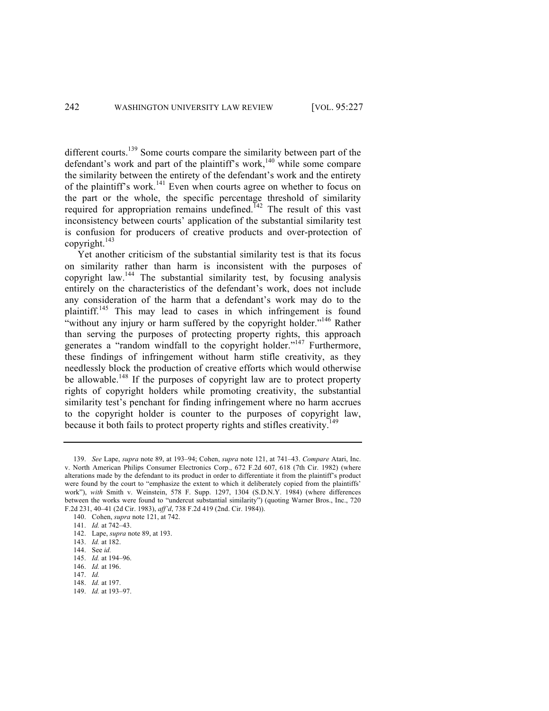different courts.<sup>139</sup> Some courts compare the similarity between part of the defendant's work and part of the plaintiff's work,<sup>140</sup> while some compare the similarity between the entirety of the defendant's work and the entirety of the plaintiff's work.<sup>141</sup> Even when courts agree on whether to focus on the part or the whole, the specific percentage threshold of similarity required for appropriation remains undefined.<sup>142</sup> The result of this vast inconsistency between courts' application of the substantial similarity test is confusion for producers of creative products and over-protection of copyright. $143$ 

Yet another criticism of the substantial similarity test is that its focus on similarity rather than harm is inconsistent with the purposes of copyright law.<sup>144</sup> The substantial similarity test, by focusing analysis entirely on the characteristics of the defendant's work, does not include any consideration of the harm that a defendant's work may do to the plaintiff.<sup>145</sup> This may lead to cases in which infringement is found "without any injury or harm suffered by the copyright holder."<sup>146</sup> Rather than serving the purposes of protecting property rights, this approach generates a "random windfall to the copyright holder."<sup>147</sup> Furthermore, these findings of infringement without harm stifle creativity, as they needlessly block the production of creative efforts which would otherwise be allowable.<sup>148</sup> If the purposes of copyright law are to protect property rights of copyright holders while promoting creativity, the substantial similarity test's penchant for finding infringement where no harm accrues to the copyright holder is counter to the purposes of copyright law, because it both fails to protect property rights and stifles creativity.<sup>149</sup>

149. *Id.* at 193–97.

<sup>139.</sup> *See* Lape, *supra* note 89, at 193–94; Cohen, *supra* note 121, at 741–43. *Compare* Atari, Inc. v. North American Philips Consumer Electronics Corp., 672 F.2d 607, 618 (7th Cir. 1982) (where alterations made by the defendant to its product in order to differentiate it from the plaintiff's product were found by the court to "emphasize the extent to which it deliberately copied from the plaintiffs' work"), *with* Smith v. Weinstein, 578 F. Supp. 1297, 1304 (S.D.N.Y. 1984) (where differences between the works were found to "undercut substantial similarity") (quoting Warner Bros., Inc., 720 F.2d 231, 40–41 (2d Cir. 1983), *aff'd*, 738 F.2d 419 (2nd. Cir. 1984)).

<sup>140.</sup> Cohen, *supra* note 121, at 742.

<sup>141.</sup> *Id.* at 742–43.

<sup>142.</sup> Lape, *supra* note 89, at 193.

<sup>143.</sup> *Id.* at 182.

<sup>144.</sup> See *id.*

<sup>145.</sup> *Id.* at 194–96.

<sup>146.</sup> *Id.* at 196.

<sup>147.</sup> *Id.*

<sup>148.</sup> *Id.* at 197.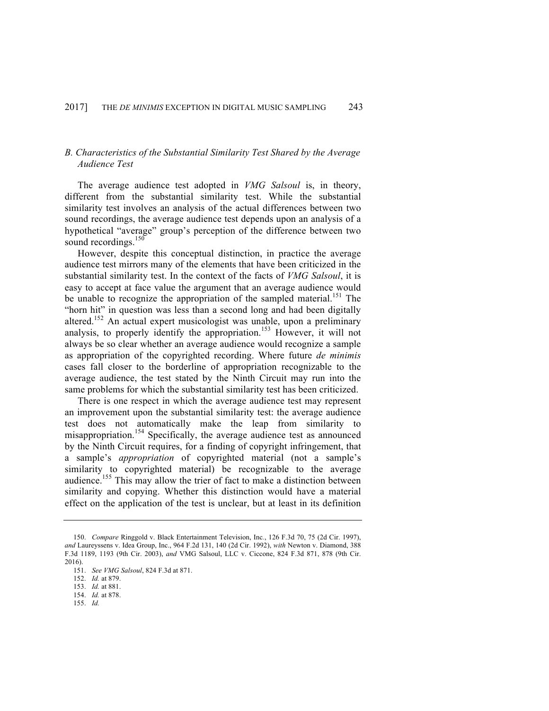# *B. Characteristics of the Substantial Similarity Test Shared by the Average Audience Test*

The average audience test adopted in *VMG Salsoul* is, in theory, different from the substantial similarity test. While the substantial similarity test involves an analysis of the actual differences between two sound recordings, the average audience test depends upon an analysis of a hypothetical "average" group's perception of the difference between two sound recordings.<sup>150</sup>

However, despite this conceptual distinction, in practice the average audience test mirrors many of the elements that have been criticized in the substantial similarity test. In the context of the facts of *VMG Salsoul*, it is easy to accept at face value the argument that an average audience would be unable to recognize the appropriation of the sampled material.<sup>151</sup> The "horn hit" in question was less than a second long and had been digitally altered.<sup>152</sup> An actual expert musicologist was unable, upon a preliminary analysis, to properly identify the appropriation.<sup>153</sup> However, it will not always be so clear whether an average audience would recognize a sample as appropriation of the copyrighted recording. Where future *de minimis* cases fall closer to the borderline of appropriation recognizable to the average audience, the test stated by the Ninth Circuit may run into the same problems for which the substantial similarity test has been criticized.

There is one respect in which the average audience test may represent an improvement upon the substantial similarity test: the average audience test does not automatically make the leap from similarity to misappropriation.<sup>154</sup> Specifically, the average audience test as announced by the Ninth Circuit requires, for a finding of copyright infringement, that a sample's *appropriation* of copyrighted material (not a sample's similarity to copyrighted material) be recognizable to the average audience.<sup>155</sup> This may allow the trier of fact to make a distinction between similarity and copying. Whether this distinction would have a material effect on the application of the test is unclear, but at least in its definition

- 154. *Id.* at 878.
- 155. *Id.*

<sup>150.</sup> *Compare* Ringgold v. Black Entertainment Television, Inc*.*, 126 F.3d 70, 75 (2d Cir. 1997), *and* Laureyssens v. Idea Group, Inc., 964 F.2d 131, 140 (2d Cir. 1992), *with* Newton v. Diamond, 388 F.3d 1189, 1193 (9th Cir. 2003), *and* VMG Salsoul, LLC v. Ciccone, 824 F.3d 871, 878 (9th Cir. 2016).

<sup>151.</sup> *See VMG Salsoul*, 824 F.3d at 871.

<sup>152.</sup> *Id.* at 879.

<sup>153.</sup> *Id.* at 881.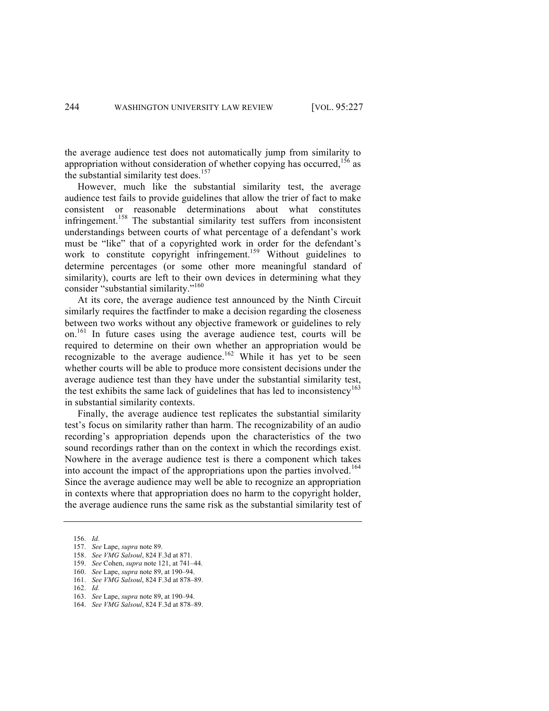the average audience test does not automatically jump from similarity to appropriation without consideration of whether copying has occurred,<sup>156</sup> as the substantial similarity test does.<sup>157</sup>

However, much like the substantial similarity test, the average audience test fails to provide guidelines that allow the trier of fact to make consistent or reasonable determinations about what constitutes infringement.<sup>158</sup> The substantial similarity test suffers from inconsistent understandings between courts of what percentage of a defendant's work must be "like" that of a copyrighted work in order for the defendant's work to constitute copyright infringement.<sup>159</sup> Without guidelines to determine percentages (or some other more meaningful standard of similarity), courts are left to their own devices in determining what they consider "substantial similarity."<sup>160</sup>

At its core, the average audience test announced by the Ninth Circuit similarly requires the factfinder to make a decision regarding the closeness between two works without any objective framework or guidelines to rely on.161 In future cases using the average audience test, courts will be required to determine on their own whether an appropriation would be recognizable to the average audience.<sup>162</sup> While it has yet to be seen whether courts will be able to produce more consistent decisions under the average audience test than they have under the substantial similarity test, the test exhibits the same lack of guidelines that has led to inconsistency<sup>163</sup> in substantial similarity contexts.

Finally, the average audience test replicates the substantial similarity test's focus on similarity rather than harm. The recognizability of an audio recording's appropriation depends upon the characteristics of the two sound recordings rather than on the context in which the recordings exist. Nowhere in the average audience test is there a component which takes into account the impact of the appropriations upon the parties involved.<sup>164</sup> Since the average audience may well be able to recognize an appropriation in contexts where that appropriation does no harm to the copyright holder, the average audience runs the same risk as the substantial similarity test of

<sup>156.</sup> *Id.*

<sup>157.</sup> *See* Lape, *supra* note 89.

<sup>158.</sup> *See VMG Salsoul*, 824 F.3d at 871.

<sup>159.</sup> *See* Cohen, *supra* note 121, at 741–44.

<sup>160.</sup> *See* Lape, *supra* note 89, at 190–94.

<sup>161.</sup> *See VMG Salsoul*, 824 F.3d at 878–89.

<sup>162.</sup> *Id.*

<sup>163.</sup> *See* Lape, *supra* note 89, at 190–94.

<sup>164.</sup> *See VMG Salsoul*, 824 F.3d at 878–89.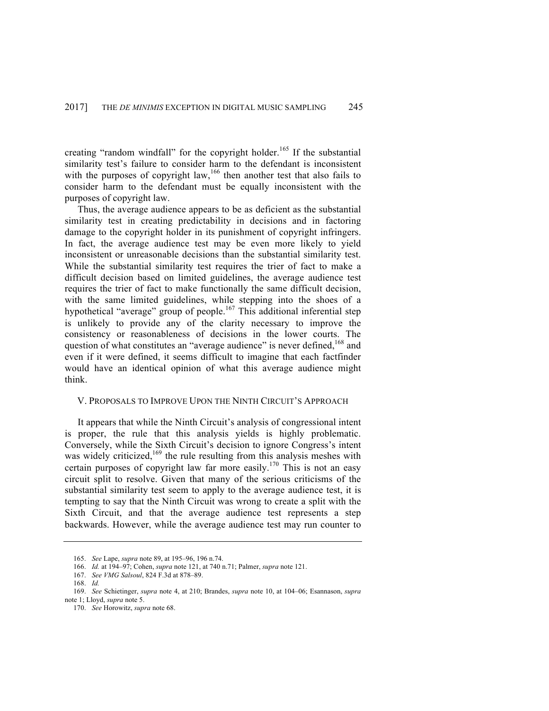creating "random windfall" for the copyright holder.<sup>165</sup> If the substantial similarity test's failure to consider harm to the defendant is inconsistent with the purposes of copyright law,<sup>166</sup> then another test that also fails to consider harm to the defendant must be equally inconsistent with the purposes of copyright law.

Thus, the average audience appears to be as deficient as the substantial similarity test in creating predictability in decisions and in factoring damage to the copyright holder in its punishment of copyright infringers. In fact, the average audience test may be even more likely to yield inconsistent or unreasonable decisions than the substantial similarity test. While the substantial similarity test requires the trier of fact to make a difficult decision based on limited guidelines, the average audience test requires the trier of fact to make functionally the same difficult decision, with the same limited guidelines, while stepping into the shoes of a hypothetical "average" group of people.<sup>167</sup> This additional inferential step is unlikely to provide any of the clarity necessary to improve the consistency or reasonableness of decisions in the lower courts. The question of what constitutes an "average audience" is never defined,<sup>168</sup> and even if it were defined, it seems difficult to imagine that each factfinder would have an identical opinion of what this average audience might think.

## V. PROPOSALS TO IMPROVE UPON THE NINTH CIRCUIT'S APPROACH

It appears that while the Ninth Circuit's analysis of congressional intent is proper, the rule that this analysis yields is highly problematic. Conversely, while the Sixth Circuit's decision to ignore Congress's intent was widely criticized,<sup>169</sup> the rule resulting from this analysis meshes with certain purposes of copyright law far more easily.<sup>170</sup> This is not an easy circuit split to resolve. Given that many of the serious criticisms of the substantial similarity test seem to apply to the average audience test, it is tempting to say that the Ninth Circuit was wrong to create a split with the Sixth Circuit, and that the average audience test represents a step backwards. However, while the average audience test may run counter to

<sup>165.</sup> *See* Lape, *supra* note 89, at 195–96, 196 n.74.

<sup>166.</sup> *Id.* at 194–97; Cohen, *supra* note 121, at 740 n.71; Palmer, *supra* note 121.

<sup>167.</sup> *See VMG Salsoul*, 824 F.3d at 878–89.

<sup>168.</sup> *Id.*

<sup>169.</sup> *See* Schietinger, *supra* note 4, at 210; Brandes, *supra* note 10, at 104–06; Esannason, *supra* note 1; Lloyd, *supra* note 5.

<sup>170.</sup> *See* Horowitz, *supra* note 68.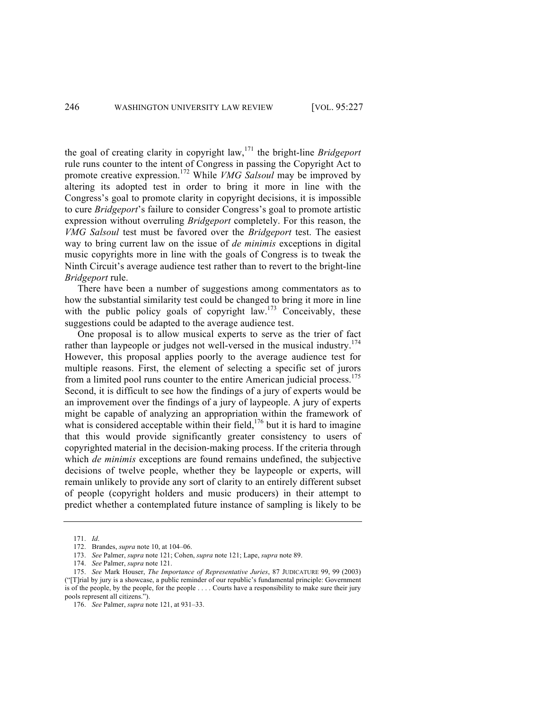the goal of creating clarity in copyright law,<sup>171</sup> the bright-line *Bridgeport* rule runs counter to the intent of Congress in passing the Copyright Act to promote creative expression.<sup>172</sup> While *VMG Salsoul* may be improved by altering its adopted test in order to bring it more in line with the Congress's goal to promote clarity in copyright decisions, it is impossible to cure *Bridgeport*'s failure to consider Congress's goal to promote artistic expression without overruling *Bridgeport* completely. For this reason, the *VMG Salsoul* test must be favored over the *Bridgeport* test. The easiest way to bring current law on the issue of *de minimis* exceptions in digital music copyrights more in line with the goals of Congress is to tweak the Ninth Circuit's average audience test rather than to revert to the bright-line *Bridgeport* rule.

There have been a number of suggestions among commentators as to how the substantial similarity test could be changed to bring it more in line with the public policy goals of copyright  $\text{law}$ <sup>173</sup> Conceivably, these suggestions could be adapted to the average audience test.

One proposal is to allow musical experts to serve as the trier of fact rather than laypeople or judges not well-versed in the musical industry.<sup>174</sup> However, this proposal applies poorly to the average audience test for multiple reasons. First, the element of selecting a specific set of jurors from a limited pool runs counter to the entire American judicial process.<sup>175</sup> Second, it is difficult to see how the findings of a jury of experts would be an improvement over the findings of a jury of laypeople. A jury of experts might be capable of analyzing an appropriation within the framework of what is considered acceptable within their field,<sup>176</sup> but it is hard to imagine that this would provide significantly greater consistency to users of copyrighted material in the decision-making process. If the criteria through which *de minimis* exceptions are found remains undefined, the subjective decisions of twelve people, whether they be laypeople or experts, will remain unlikely to provide any sort of clarity to an entirely different subset of people (copyright holders and music producers) in their attempt to predict whether a contemplated future instance of sampling is likely to be

<sup>171.</sup> *Id*.

<sup>172.</sup> Brandes, *supra* note 10, at 104–06.

<sup>173.</sup> *See* Palmer, *supra* note 121; Cohen, *supra* note 121; Lape, *supra* note 89.

<sup>174.</sup> *See* Palmer, *supra* note 121.

<sup>175.</sup> *See* Mark Houser, *The Importance of Representative Juries*, 87 JUDICATURE 99, 99 (2003) ("[T]rial by jury is a showcase, a public reminder of our republic's fundamental principle: Government is of the people, by the people, for the people . . . . Courts have a responsibility to make sure their jury pools represent all citizens.").

<sup>176.</sup> *See* Palmer, *supra* note 121, at 931–33.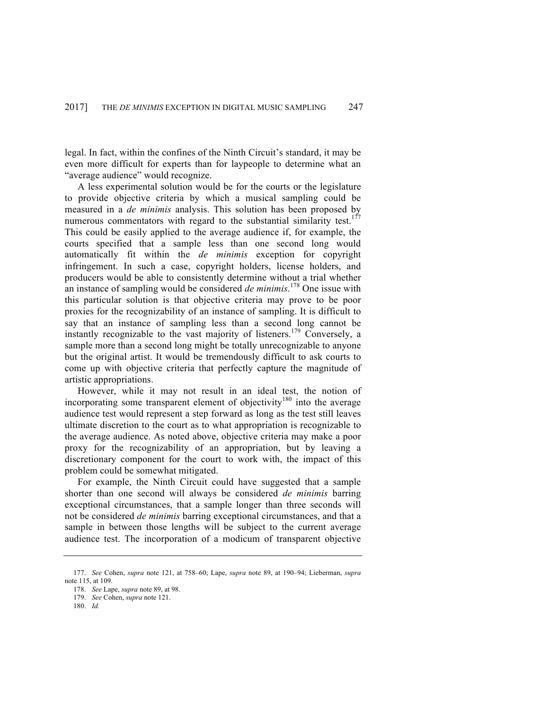legal. In fact, within the confines of the Ninth Circuit's standard, it may be even more difficult for experts than for laypeople to determine what an "average audience" would recognize.

A less experimental solution would be for the courts or the legislature to provide objective criteria by which a musical sampling could be measured in a *de minimis* analysis. This solution has been proposed by numerous commentators with regard to the substantial similarity test.<sup>177</sup> This could be easily applied to the average audience if, for example, the courts specified that a sample less than one second long would automatically fit within the *de minimis* exception for copyright infringement. In such a case, copyright holders, license holders, and producers would be able to consistently determine without a trial whether an instance of sampling would be considered *de minimis*. <sup>178</sup> One issue with this particular solution is that objective criteria may prove to be poor proxies for the recognizability of an instance of sampling. It is difficult to say that an instance of sampling less than a second long cannot be instantly recognizable to the vast majority of listeners.<sup>179</sup> Conversely, a sample more than a second long might be totally unrecognizable to anyone but the original artist. It would be tremendously difficult to ask courts to come up with objective criteria that perfectly capture the magnitude of artistic appropriations.

However, while it may not result in an ideal test, the notion of incorporating some transparent element of objectivity<sup>180</sup> into the average audience test would represent a step forward as long as the test still leaves ultimate discretion to the court as to what appropriation is recognizable to the average audience. As noted above, objective criteria may make a poor proxy for the recognizability of an appropriation, but by leaving a discretionary component for the court to work with, the impact of this problem could be somewhat mitigated.

For example, the Ninth Circuit could have suggested that a sample shorter than one second will always be considered *de minimis* barring exceptional circumstances, that a sample longer than three seconds will not be considered *de minimis* barring exceptional circumstances, and that a sample in between those lengths will be subject to the current average audience test. The incorporation of a modicum of transparent objective

<sup>177.</sup> *See* Cohen, *supra* note 121, at 758–60; Lape, *supra* note 89, at 190–94; Lieberman, *supra* note 115, at 109.

<sup>178.</sup> *See* Lape, *supra* note 89, at 98.

<sup>179.</sup> *See* Cohen, *supra* note 121.

<sup>180.</sup> *Id.*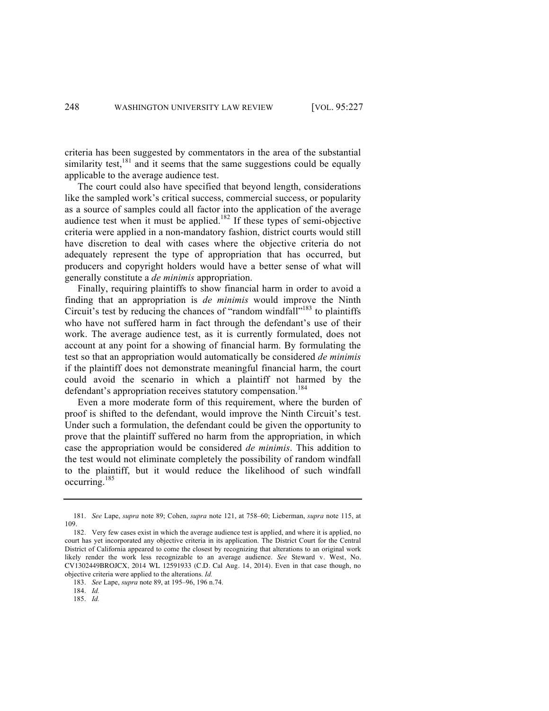criteria has been suggested by commentators in the area of the substantial similarity test, $181$  and it seems that the same suggestions could be equally applicable to the average audience test.

The court could also have specified that beyond length, considerations like the sampled work's critical success, commercial success, or popularity as a source of samples could all factor into the application of the average audience test when it must be applied.<sup>182</sup> If these types of semi-objective criteria were applied in a non-mandatory fashion, district courts would still have discretion to deal with cases where the objective criteria do not adequately represent the type of appropriation that has occurred, but producers and copyright holders would have a better sense of what will generally constitute a *de minimis* appropriation.

Finally, requiring plaintiffs to show financial harm in order to avoid a finding that an appropriation is *de minimis* would improve the Ninth Circuit's test by reducing the chances of "random windfall"<sup>183</sup> to plaintiffs who have not suffered harm in fact through the defendant's use of their work. The average audience test, as it is currently formulated, does not account at any point for a showing of financial harm. By formulating the test so that an appropriation would automatically be considered *de minimis* if the plaintiff does not demonstrate meaningful financial harm, the court could avoid the scenario in which a plaintiff not harmed by the defendant's appropriation receives statutory compensation.<sup>184</sup>

Even a more moderate form of this requirement, where the burden of proof is shifted to the defendant, would improve the Ninth Circuit's test. Under such a formulation, the defendant could be given the opportunity to prove that the plaintiff suffered no harm from the appropriation, in which case the appropriation would be considered *de minimis*. This addition to the test would not eliminate completely the possibility of random windfall to the plaintiff, but it would reduce the likelihood of such windfall occurring.<sup>185</sup>

<sup>181.</sup> *See* Lape, *supra* note 89; Cohen, *supra* note 121, at 758–60; Lieberman, *supra* note 115, at 109.

<sup>182.</sup> Very few cases exist in which the average audience test is applied, and where it is applied, no court has yet incorporated any objective criteria in its application. The District Court for the Central District of California appeared to come the closest by recognizing that alterations to an original work likely render the work less recognizable to an average audience. *See* Steward v. West, No. CV1302449BROJCX, 2014 WL 12591933 (C.D. Cal Aug. 14, 2014). Even in that case though, no objective criteria were applied to the alterations. *Id.*

<sup>183.</sup> *See* Lape, *supra* note 89, at 195–96, 196 n.74.

<sup>184.</sup> *Id.*

<sup>185.</sup> *Id.*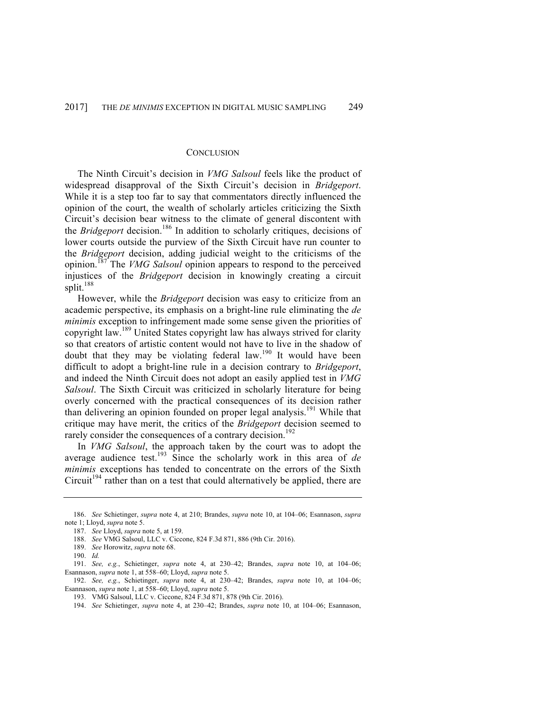## **CONCLUSION**

The Ninth Circuit's decision in *VMG Salsoul* feels like the product of widespread disapproval of the Sixth Circuit's decision in *Bridgeport*. While it is a step too far to say that commentators directly influenced the opinion of the court, the wealth of scholarly articles criticizing the Sixth Circuit's decision bear witness to the climate of general discontent with the *Bridgeport* decision.<sup>186</sup> In addition to scholarly critiques, decisions of lower courts outside the purview of the Sixth Circuit have run counter to the *Bridgeport* decision, adding judicial weight to the criticisms of the opinion.<sup>187</sup> The *VMG Salsoul* opinion appears to respond to the perceived injustices of the *Bridgeport* decision in knowingly creating a circuit split.<sup>188</sup>

However, while the *Bridgeport* decision was easy to criticize from an academic perspective, its emphasis on a bright-line rule eliminating the *de minimis* exception to infringement made some sense given the priorities of copyright law.<sup>189</sup> United States copyright law has always strived for clarity so that creators of artistic content would not have to live in the shadow of doubt that they may be violating federal law.<sup>190</sup> It would have been difficult to adopt a bright-line rule in a decision contrary to *Bridgeport*, and indeed the Ninth Circuit does not adopt an easily applied test in *VMG Salsoul*. The Sixth Circuit was criticized in scholarly literature for being overly concerned with the practical consequences of its decision rather than delivering an opinion founded on proper legal analysis.<sup>191</sup> While that critique may have merit, the critics of the *Bridgeport* decision seemed to rarely consider the consequences of a contrary decision.<sup>192</sup>

In *VMG Salsoul*, the approach taken by the court was to adopt the average audience test.<sup>193</sup> Since the scholarly work in this area of *de minimis* exceptions has tended to concentrate on the errors of the Sixth Circuit<sup>194</sup> rather than on a test that could alternatively be applied, there are

<sup>186.</sup> *See* Schietinger, *supra* note 4, at 210; Brandes, *supra* note 10, at 104–06; Esannason, *supra* note 1; Lloyd, *supra* note 5.

<sup>187.</sup> *See* Lloyd, *supra* note 5, at 159.

<sup>188.</sup> *See* VMG Salsoul, LLC v. Ciccone, 824 F.3d 871, 886 (9th Cir. 2016).

<sup>189.</sup> *See* Horowitz, *supra* note 68.

<sup>190.</sup> *Id.*

<sup>191.</sup> *See, e.g.*, Schietinger, *supra* note 4, at 230–42; Brandes, *supra* note 10, at 104–06; Esannason, *supra* note 1, at 558–60; Lloyd, *supra* note 5.

<sup>192.</sup> *See, e.g.*, Schietinger, *supra* note 4, at 230–42; Brandes, *supra* note 10, at 104–06; Esannason, *supra* note 1, at 558–60; Lloyd, *supra* note 5.

<sup>193.</sup> VMG Salsoul, LLC v. Ciccone, 824 F.3d 871, 878 (9th Cir. 2016).

<sup>194.</sup> *See* Schietinger, *supra* note 4, at 230–42; Brandes, *supra* note 10, at 104–06; Esannason,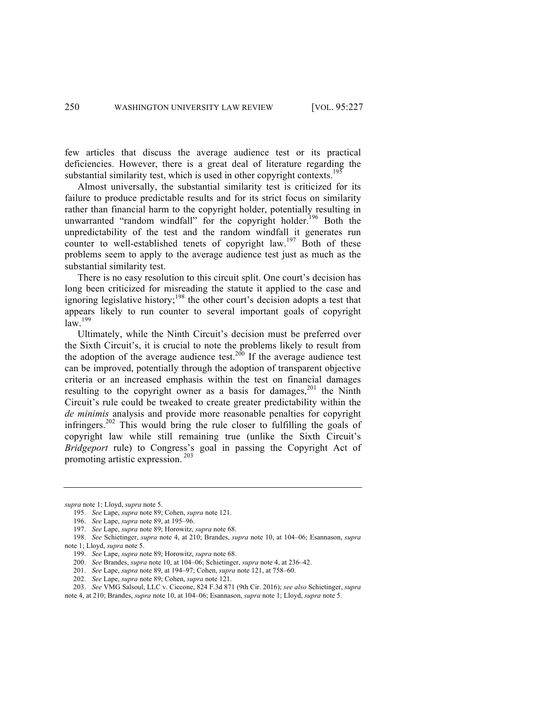few articles that discuss the average audience test or its practical deficiencies. However, there is a great deal of literature regarding the substantial similarity test, which is used in other copyright contexts.<sup>195</sup>

Almost universally, the substantial similarity test is criticized for its failure to produce predictable results and for its strict focus on similarity rather than financial harm to the copyright holder, potentially resulting in unwarranted "random windfall" for the copyright holder.<sup>196</sup> Both the unpredictability of the test and the random windfall it generates run counter to well-established tenets of copyright law.<sup>197</sup> Both of these problems seem to apply to the average audience test just as much as the substantial similarity test.

There is no easy resolution to this circuit split. One court's decision has long been criticized for misreading the statute it applied to the case and ignoring legislative history;<sup>198</sup> the other court's decision adopts a test that appears likely to run counter to several important goals of copyright  $\int$  $\frac{199}{1}$ 

Ultimately, while the Ninth Circuit's decision must be preferred over the Sixth Circuit's, it is crucial to note the problems likely to result from the adoption of the average audience test.<sup>200</sup> If the average audience test can be improved, potentially through the adoption of transparent objective criteria or an increased emphasis within the test on financial damages resulting to the copyright owner as a basis for damages,  $201$  the Ninth Circuit's rule could be tweaked to create greater predictability within the *de minimis* analysis and provide more reasonable penalties for copyright infringers.<sup>202</sup> This would bring the rule closer to fulfilling the goals of copyright law while still remaining true (unlike the Sixth Circuit's *Bridgeport* rule) to Congress's goal in passing the Copyright Act of promoting artistic expression. <sup>203</sup>

201. *See* Lape, *supra* note 89, at 194–97; Cohen, *supra* note 121, at 758–60.

*supra* note 1; Lloyd, *supra* note 5.

<sup>195.</sup> *See* Lape, *supra* note 89; Cohen, *supra* note 121.

<sup>196.</sup> *See* Lape, *supra* note 89, at 195–96.

<sup>197.</sup> *See* Lape, *supra* note 89; Horowitz, *supra* note 68.

<sup>198.</sup> *See* Schietinger, *supra* note 4, at 210; Brandes, *supra* note 10, at 104–06; Esannason, *supra* note 1; Lloyd, *supra* note 5.

<sup>199.</sup> *See* Lape, *supra* note 89; Horowitz, *supra* note 68.

<sup>200.</sup> *See* Brandes, *supra* note 10, at 104–06; Schietinger, *supra* note 4, at 236–42.

<sup>202.</sup> *See* Lape, *supra* note 89; Cohen, *supra* note 121.

<sup>203.</sup> *See* VMG Salsoul, LLC v. Ciccone, 824 F.3d 871 (9th Cir. 2016); *see also* Schietinger, *supra*

note 4, at 210; Brandes, *supra* note 10, at 104–06; Esannason, *supra* note 1; Lloyd, *supra* note 5.